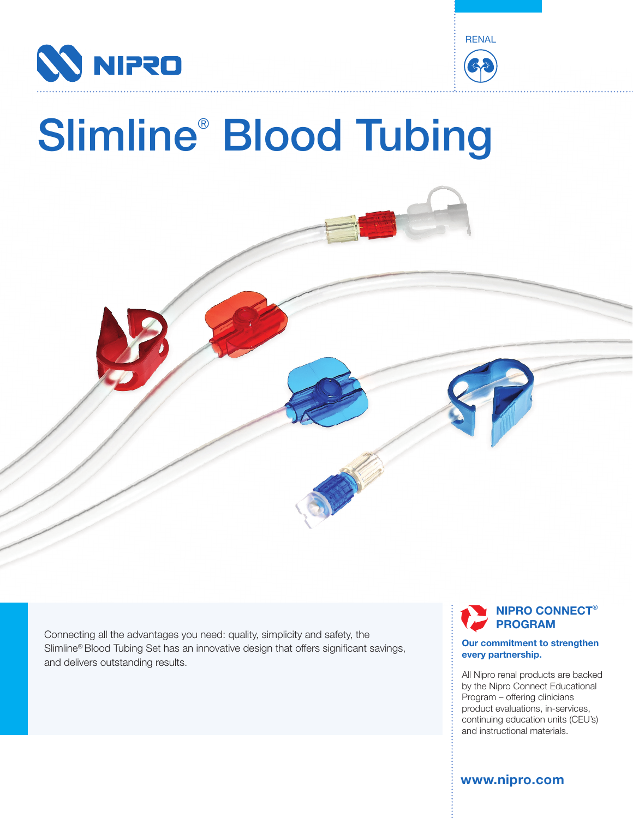



# Slimline® Blood Tubing

Connecting all the advantages you need: quality, simplicity and safety, the Slimline® Blood Tubing Set has an innovative design that offers significant savings, and delivers outstanding results.

## **NIPRO CONNECT**® **PROGRAM**

#### **Our commitment to strengthen every partnership.**

All Nipro renal products are backed by the Nipro Connect Educational Program – offering clinicians product evaluations, in-services, continuing education units (CEU's) and instructional materials.

**www.nipro.com**